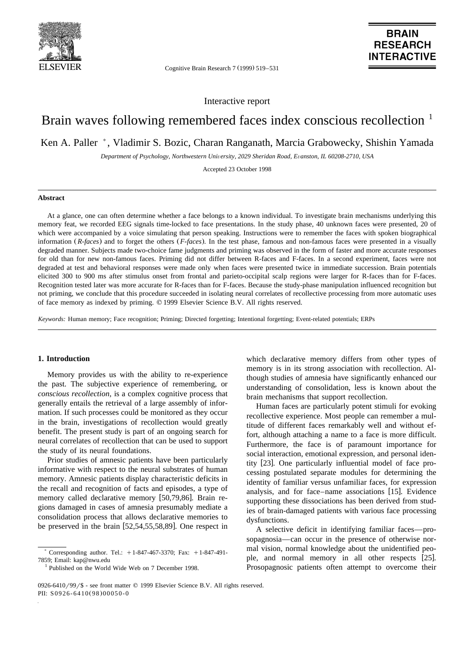

Cognitive Brain Research 7 (1999) 519-531

# **BRAIN RESEARCH INTERACTIVE**

Interactive report

# Brain waves following remembered faces index conscious recollection <sup>1</sup>

Ken A. Paller \*, Vladimir S. Bozic, Charan Ranganath, Marcia Grabowecky, Shishin Yamada

*Department of Psychology, Northwestern Uni*Õ*ersity, 2029 Sheridan Road, E*Õ*anston, IL 60208-2710, USA*

Accepted 23 October 1998

# **Abstract**

At a glance, one can often determine whether a face belongs to a known individual. To investigate brain mechanisms underlying this memory feat, we recorded EEG signals time-locked to face presentations. In the study phase, 40 unknown faces were presented, 20 of which were accompanied by a voice simulating that person speaking. Instructions were to remember the faces with spoken biographical information (R-faces) and to forget the others (F-faces). In the test phase, famous and non-famous faces were presented in a visually degraded manner. Subjects made two-choice fame judgments and priming was observed in the form of faster and more accurate responses for old than for new non-famous faces. Priming did not differ between R-faces and F-faces. In a second experiment, faces were not degraded at test and behavioral responses were made only when faces were presented twice in immediate succession. Brain potentials elicited 300 to 900 ms after stimulus onset from frontal and parieto-occipital scalp regions were larger for R-faces than for F-faces. Recognition tested later was more accurate for R-faces than for F-faces. Because the study-phase manipulation influenced recognition but not priming, we conclude that this procedure succeeded in isolating neural correlates of recollective processing from more automatic uses of face memory as indexed by priming. q 1999 Elsevier Science B.V. All rights reserved.

*Keywords:* Human memory; Face recognition; Priming; Directed forgetting; Intentional forgetting; Event-related potentials; ERPs

## **1. Introduction**

Memory provides us with the ability to re-experience the past. The subjective experience of remembering, or *conscious recollection*, is a complex cognitive process that generally entails the retrieval of a large assembly of information. If such processes could be monitored as they occur in the brain, investigations of recollection would greatly benefit. The present study is part of an ongoing search for neural correlates of recollection that can be used to support the study of its neural foundations.

Prior studies of amnesic patients have been particularly informative with respect to the neural substrates of human memory. Amnesic patients display characteristic deficits in the recall and recognition of facts and episodes, a type of memory called declarative memory [50,79,86]. Brain regions damaged in cases of amnesia presumably mediate a consolidation process that allows declarative memories to be preserved in the brain  $[52,54,55,58,89]$ . One respect in

which declarative memory differs from other types of memory is in its strong association with recollection. Although studies of amnesia have significantly enhanced our understanding of consolidation, less is known about the brain mechanisms that support recollection.

Human faces are particularly potent stimuli for evoking recollective experience. Most people can remember a multitude of different faces remarkably well and without effort, although attaching a name to a face is more difficult. Furthermore, the face is of paramount importance for social interaction, emotional expression, and personal identity [23]. One particularly influential model of face processing postulated separate modules for determining the identity of familiar versus unfamiliar faces, for expression analysis, and for face–name associations [15]. Evidence supporting these dissociations has been derived from studies of brain-damaged patients with various face processing dysfunctions.

A selective deficit in identifying familiar faces—prosopagnosia—can occur in the presence of otherwise normal vision, normal knowledge about the unidentified people, and normal memory in all other respects [25]. Prosopagnosic patients often attempt to overcome their

Corresponding author. Tel.:  $+1-847-467-3370$ ; Fax:  $+1-847-491-$ 

<sup>7859;</sup> Email: kap@nwu.edu<br><sup>1</sup> Published on the World Wide Web on 7 December 1998.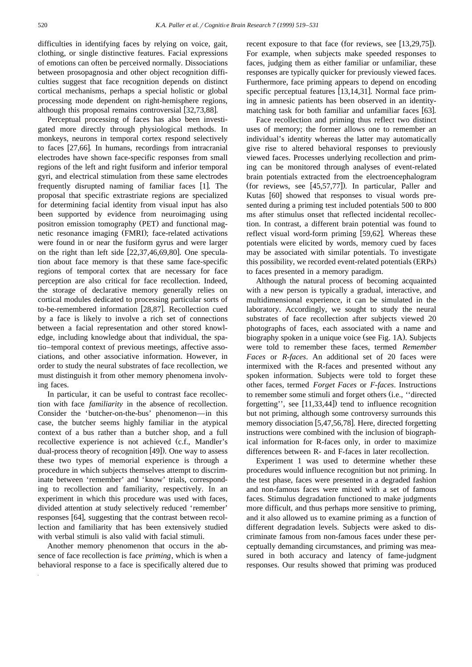difficulties in identifying faces by relying on voice, gait, clothing, or single distinctive features. Facial expressions of emotions can often be perceived normally. Dissociations between prosopagnosia and other object recognition difficulties suggest that face recognition depends on distinct cortical mechanisms, perhaps a special holistic or global processing mode dependent on right-hemisphere regions, although this proposal remains controversial  $[32,73,88]$ .

Perceptual processing of faces has also been investigated more directly through physiological methods. In monkeys, neurons in temporal cortex respond selectively to faces  $[27,66]$ . In humans, recordings from intracranial electrodes have shown face-specific responses from small regions of the left and right fusiform and inferior temporal gyri, and electrical stimulation from these same electrodes frequently disrupted naming of familiar faces [1]. The proposal that specific extrastriate regions are specialized for determining facial identity from visual input has also been supported by evidence from neuroimaging using positron emission tomography (PET) and functional magnetic resonance imaging (FMRI); face-related activations were found in or near the fusiform gyrus and were larger on the right than left side  $[22,37,46,69,80]$ . One speculation about face memory is that these same face-specific regions of temporal cortex that are necessary for face perception are also critical for face recollection. Indeed, the storage of declarative memory generally relies on cortical modules dedicated to processing particular sorts of to-be-remembered information [28,87]. Recollection cued by a face is likely to involve a rich set of connections between a facial representation and other stored knowledge, including knowledge about that individual, the spatio–temporal context of previous meetings, affective associations, and other associative information. However, in order to study the neural substrates of face recollection, we must distinguish it from other memory phenomena involving faces.

In particular, it can be useful to contrast face recollection with face *familiarity* in the absence of recollection. Consider the 'butcher-on-the-bus' phenomenon—in this case, the butcher seems highly familiar in the atypical context of a bus rather than a butcher shop, and a full recollective experience is not achieved (c.f., Mandler's dual-process theory of recognition  $[49]$ . One way to assess these two types of memorial experience is through a procedure in which subjects themselves attempt to discriminate between 'remember' and 'know' trials, corresponding to recollection and familiarity, respectively. In an experiment in which this procedure was used with faces, divided attention at study selectively reduced 'remember' responses [64], suggesting that the contrast between recollection and familiarity that has been extensively studied with verbal stimuli is also valid with facial stimuli.

Another memory phenomenon that occurs in the absence of face recollection is face *priming*, which is when a behavioral response to a face is specifically altered due to

recent exposure to that face (for reviews, see  $[13,29,75]$ ). For example, when subjects make speeded responses to faces, judging them as either familiar or unfamiliar, these responses are typically quicker for previously viewed faces. Furthermore, face priming appears to depend on encoding specific perceptual features  $[13,14,31]$ . Normal face priming in amnesic patients has been observed in an identitymatching task for both familiar and unfamiliar faces  $[63]$ .

Face recollection and priming thus reflect two distinct uses of memory; the former allows one to remember an individual's identity whereas the latter may automatically give rise to altered behavioral responses to previously viewed faces. Processes underlying recollection and priming can be monitored through analyses of event-related brain potentials extracted from the electroencephalogram (for reviews, see  $[45,57,77]$ ). In particular, Paller and Kutas [60] showed that responses to visual words presented during a priming test included potentials 500 to 800 ms after stimulus onset that reflected incidental recollection. In contrast, a different brain potential was found to reflect visual word-form priming  $[59,62]$ . Whereas these potentials were elicited by words, memory cued by faces may be associated with similar potentials. To investigate this possibility, we recorded event-related potentials (ERPs) to faces presented in a memory paradigm.

Although the natural process of becoming acquainted with a new person is typically a gradual, interactive, and multidimensional experience, it can be simulated in the laboratory. Accordingly, we sought to study the neural substrates of face recollection after subjects viewed 20 photographs of faces, each associated with a name and biography spoken in a unique voice (see Fig. 1A). Subjects were told to remember these faces, termed *Remember Faces* or *R-faces*. An additional set of 20 faces were intermixed with the R-faces and presented without any spoken information. Subjects were told to forget these other faces, termed *Forget Faces* or *F-faces*. Instructions to remember some stimuli and forget others (i.e., "directed forgetting'', see  $[11,33,44]$ ) tend to influence recognition but not priming, although some controversy surrounds this memory dissociation  $[5,47,56,78]$ . Here, directed forgetting instructions were combined with the inclusion of biographical information for R-faces only, in order to maximize differences between R- and F-faces in later recollection.

Experiment 1 was used to determine whether these procedures would influence recognition but not priming. In the test phase, faces were presented in a degraded fashion and non-famous faces were mixed with a set of famous faces. Stimulus degradation functioned to make judgments more difficult, and thus perhaps more sensitive to priming, and it also allowed us to examine priming as a function of different degradation levels. Subjects were asked to discriminate famous from non-famous faces under these perceptually demanding circumstances, and priming was measured in both accuracy and latency of fame-judgment responses. Our results showed that priming was produced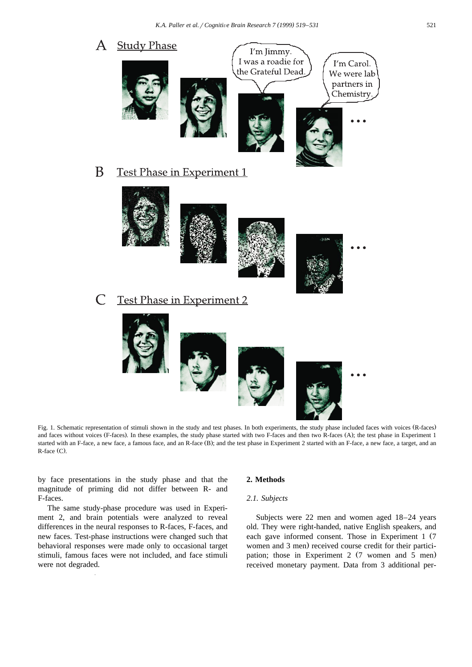

Fig. 1. Schematic representation of stimuli shown in the study and test phases. In both experiments, the study phase included faces with voices (R-faces) and faces without voices (F-faces). In these examples, the study phase started with two F-faces and then two R-faces (A); the test phase in Experiment 1 started with an F-face, a new face, a famous face, and an R-face (B); and the test phase in Experiment 2 started with an F-face, a new face, a target, and an  $R$ -face  $(C)$ .

by face presentations in the study phase and that the magnitude of priming did not differ between R- and F-faces.

The same study-phase procedure was used in Experiment 2, and brain potentials were analyzed to reveal differences in the neural responses to R-faces, F-faces, and new faces. Test-phase instructions were changed such that behavioral responses were made only to occasional target stimuli, famous faces were not included, and face stimuli were not degraded.

## **2. Methods**

# *2.1. Subjects*

Subjects were 22 men and women aged 18–24 years old. They were right-handed, native English speakers, and each gave informed consent. Those in Experiment 1 (7 women and 3 men) received course credit for their participation; those in Experiment 2 (7 women and 5 men) received monetary payment. Data from 3 additional per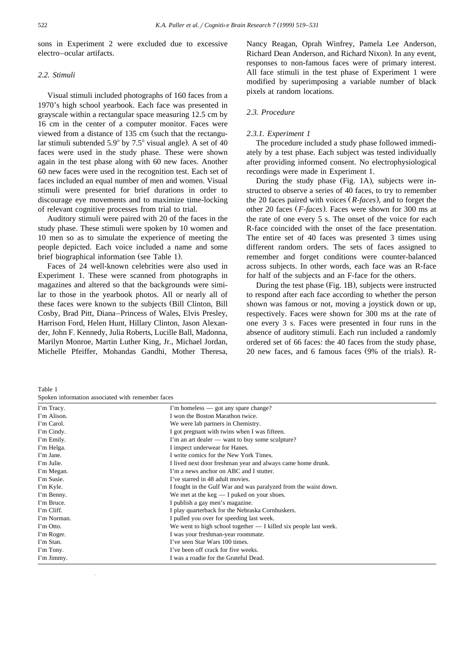sons in Experiment 2 were excluded due to excessive electro–ocular artifacts.

# *2.2. Stimuli*

Visual stimuli included photographs of 160 faces from a 1970's high school yearbook. Each face was presented in grayscale within a rectangular space measuring 12.5 cm by 16 cm in the center of a computer monitor. Faces were viewed from a distance of 135 cm (such that the rectangular stimuli subtended  $5.9^{\circ}$  by  $7.5^{\circ}$  visual angle). A set of 40 faces were used in the study phase. These were shown again in the test phase along with 60 new faces. Another 60 new faces were used in the recognition test. Each set of faces included an equal number of men and women. Visual stimuli were presented for brief durations in order to discourage eye movements and to maximize time-locking of relevant cognitive processes from trial to trial.

Auditory stimuli were paired with 20 of the faces in the study phase. These stimuli were spoken by 10 women and 10 men so as to simulate the experience of meeting the people depicted. Each voice included a name and some brief biographical information (see Table 1).

Faces of 24 well-known celebrities were also used in Experiment 1. These were scanned from photographs in magazines and altered so that the backgrounds were similar to those in the yearbook photos. All or nearly all of these faces were known to the subjects (Bill Clinton, Bill Cosby, Brad Pitt, Diana–Princess of Wales, Elvis Presley, Harrison Ford, Helen Hunt, Hillary Clinton, Jason Alexander, John F. Kennedy, Julia Roberts, Lucille Ball, Madonna, Marilyn Monroe, Martin Luther King, Jr., Michael Jordan, Michelle Pfeiffer, Mohandas Gandhi, Mother Theresa,

Nancy Reagan, Oprah Winfrey, Pamela Lee Anderson, Richard Dean Anderson, and Richard Nixon). In any event, responses to non-famous faces were of primary interest. All face stimuli in the test phase of Experiment 1 were modified by superimposing a variable number of black pixels at random locations.

# *2.3. Procedure*

#### *2.3.1. Experiment 1*

The procedure included a study phase followed immediately by a test phase. Each subject was tested individually after providing informed consent. No electrophysiological recordings were made in Experiment 1.

During the study phase (Fig. 1A), subjects were instructed to observe a series of 40 faces, to try to remember the 20 faces paired with voices (*R-faces*), and to forget the other 20 faces (*F-faces*). Faces were shown for 300 ms at the rate of one every 5 s. The onset of the voice for each R-face coincided with the onset of the face presentation. The entire set of 40 faces was presented 3 times using different random orders. The sets of faces assigned to remember and forget conditions were counter-balanced across subjects. In other words, each face was an R-face for half of the subjects and an F-face for the others.

During the test phase (Fig. 1B), subjects were instructed to respond after each face according to whether the person shown was famous or not, moving a joystick down or up, respectively. Faces were shown for 300 ms at the rate of one every 3 s. Faces were presented in four runs in the absence of auditory stimuli. Each run included a randomly ordered set of 66 faces: the 40 faces from the study phase, 20 new faces, and 6 famous faces  $(9\% \text{ of the trials})$ . R-

Table 1

Spoken information associated with remember faces

| эрөкен ниогиканон аззостател while remember faces |                                                                    |  |  |  |  |  |
|---------------------------------------------------|--------------------------------------------------------------------|--|--|--|--|--|
| I'm Tracy.                                        | I'm homeless — got any spare change?                               |  |  |  |  |  |
| I'm Alison.                                       | I won the Boston Marathon twice.                                   |  |  |  |  |  |
| I'm Carol.                                        | We were lab partners in Chemistry.                                 |  |  |  |  |  |
| I'm Cindy.                                        | I got pregnant with twins when I was fifteen.                      |  |  |  |  |  |
| I'm Emily.                                        | I'm an art dealer — want to buy some sculpture?                    |  |  |  |  |  |
| I'm Helga.                                        | I inspect underwear for Hanes.                                     |  |  |  |  |  |
| I'm Jane.                                         | I write comics for the New York Times.                             |  |  |  |  |  |
| I'm Julie.                                        | I lived next door freshman year and always came home drunk.        |  |  |  |  |  |
| I'm Megan.                                        | I'm a news anchor on ABC and I stutter.                            |  |  |  |  |  |
| I'm Susie.                                        | I've starred in 48 adult movies.                                   |  |  |  |  |  |
| I'm Kyle.                                         | I fought in the Gulf War and was paralyzed from the waist down.    |  |  |  |  |  |
| I'm Benny.                                        | We met at the $\text{keg} = I$ puked on your shoes.                |  |  |  |  |  |
| I'm Bruce.                                        | I publish a gay men's magazine.                                    |  |  |  |  |  |
| I'm Cliff.                                        | I play quarterback for the Nebraska Cornhuskers.                   |  |  |  |  |  |
| I'm Norman.                                       | I pulled you over for speeding last week.                          |  |  |  |  |  |
| I'm Otto.                                         | We went to high school together $- I$ killed six people last week. |  |  |  |  |  |
| I'm Roger.                                        | I was your freshman-year roommate.                                 |  |  |  |  |  |
| I'm Stan.                                         | I've seen Star Wars 100 times.                                     |  |  |  |  |  |
| I'm Tony.                                         | I've been off crack for five weeks.                                |  |  |  |  |  |
| I'm Jimmy.                                        | I was a roadie for the Grateful Dead.                              |  |  |  |  |  |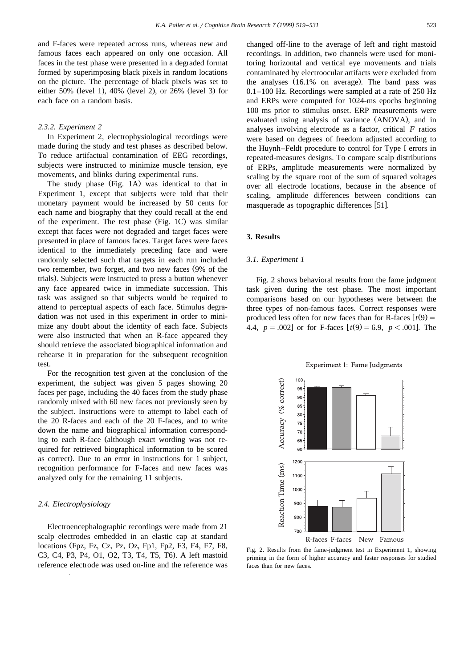and F-faces were repeated across runs, whereas new and famous faces each appeared on only one occasion. All faces in the test phase were presented in a degraded format formed by superimposing black pixels in random locations on the picture. The percentage of black pixels was set to either 50% (level 1), 40% (level 2), or 26% (level 3) for each face on a random basis.

## *2.3.2. Experiment 2*

In Experiment 2, electrophysiological recordings were made during the study and test phases as described below. To reduce artifactual contamination of EEG recordings, subjects were instructed to minimize muscle tension, eye movements, and blinks during experimental runs.

The study phase (Fig. 1A) was identical to that in Experiment 1, except that subjects were told that their monetary payment would be increased by 50 cents for each name and biography that they could recall at the end of the experiment. The test phase (Fig. 1C) was similar except that faces were not degraded and target faces were presented in place of famous faces. Target faces were faces identical to the immediately preceding face and were randomly selected such that targets in each run included two remember, two forget, and two new faces (9% of the trials). Subjects were instructed to press a button whenever any face appeared twice in immediate succession. This task was assigned so that subjects would be required to attend to perceptual aspects of each face. Stimulus degradation was not used in this experiment in order to minimize any doubt about the identity of each face. Subjects were also instructed that when an R-face appeared they should retrieve the associated biographical information and rehearse it in preparation for the subsequent recognition test.

For the recognition test given at the conclusion of the experiment, the subject was given 5 pages showing 20 faces per page, including the 40 faces from the study phase randomly mixed with 60 new faces not previously seen by the subject. Instructions were to attempt to label each of the 20 R-faces and each of the 20 F-faces, and to write down the name and biographical information corresponding to each R-face (although exact wording was not required for retrieved biographical information to be scored as correct). Due to an error in instructions for 1 subject, recognition performance for F-faces and new faces was analyzed only for the remaining 11 subjects.

#### *2.4. Electrophysiology*

Electroencephalographic recordings were made from 21 scalp electrodes embedded in an elastic cap at standard locations (Fpz, Fz, Cz, Pz, Oz, Fp1, Fp2, F3, F4, F7, F8, C3, C4, P3, P4, O1, O2, T3, T4, T5, T6). A left mastoid reference electrode was used on-line and the reference was

changed off-line to the average of left and right mastoid recordings. In addition, two channels were used for monitoring horizontal and vertical eye movements and trials contaminated by electroocular artifacts were excluded from the analyses  $(16.1\%$  on average). The band pass was 0.1–100 Hz. Recordings were sampled at a rate of 250 Hz and ERPs were computed for 1024-ms epochs beginning 100 ms prior to stimulus onset. ERP measurements were evaluated using analysis of variance (ANOVA), and in analyses involving electrode as a factor, critical *F* ratios were based on degrees of freedom adjusted according to the Huynh–Feldt procedure to control for Type I errors in repeated-measures designs. To compare scalp distributions of ERPs, amplitude measurements were normalized by scaling by the square root of the sum of squared voltages over all electrode locations, because in the absence of scaling, amplitude differences between conditions can masquerade as topographic differences [51].

### **3. Results**

#### *3.1. Experiment 1*

Fig. 2 shows behavioral results from the fame judgment task given during the test phase. The most important comparisons based on our hypotheses were between the three types of non-famous faces. Correct responses were produced less often for new faces than for R-faces  $\left[t(9)\right]$ 4.4,  $p = .002$  or for F-faces  $\lceil t(9) = 6.9, p < .001 \rceil$ . The

Experiment 1: Fame Judgments



Fig. 2. Results from the fame-judgment test in Experiment 1, showing priming in the form of higher accuracy and faster responses for studied faces than for new faces.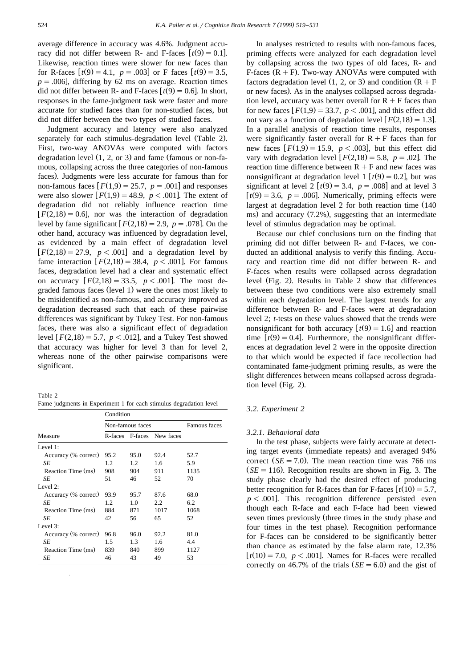average difference in accuracy was 4.6%. Judgment accuracy did not differ between R- and F-faces  $[t(9) = 0.1]$ . Likewise, reaction times were slower for new faces than for R-faces  $[t(9) = 4.1, p = .003]$  or F faces  $[t(9) = 3.5,$  $p = .006$ , differing by 62 ms on average. Reaction times did not differ between R- and F-faces  $[t(9) = 0.6]$ . In short, responses in the fame-judgment task were faster and more accurate for studied faces than for non-studied faces, but did not differ between the two types of studied faces.

Judgment accuracy and latency were also analyzed separately for each stimulus-degradation level (Table 2). First, two-way ANOVAs were computed with factors degradation level  $(1, 2, \text{or } 3)$  and fame (famous or non-famous, collapsing across the three categories of non-famous faces). Judgments were less accurate for famous than for non-famous faces  $[F(1,9) = 25.7, p = .001]$  and responses were also slower  $[F(1,9) = 48.9, p < .001]$ . The extent of degradation did not reliably influence reaction time  $[F(2,18) = 0.6]$ , nor was the interaction of degradation level by fame significant  $F(2,18) = 2.9$ ,  $p = .078$ . On the other hand, accuracy was influenced by degradation level, as evidenced by a main effect of degradation level  $[F(2,18) = 27.9, p < .001]$  and a degradation level by fame interaction  $[F(2,18) = 38.4, p < .001]$ . For famous faces, degradation level had a clear and systematic effect on accuracy  $F(2,18) = 33.5$ ,  $p < .001$ . The most degraded famous faces (level 1) were the ones most likely to be misidentified as non-famous, and accuracy improved as degradation decreased such that each of these pairwise differences was significant by Tukey Test. For non-famous faces, there was also a significant effect of degradation level  $F(2,18) = 5.7$ ,  $p < .012$ , and a Tukey Test showed that accuracy was higher for level 3 than for level 2, whereas none of the other pairwise comparisons were significant.

Table 2 Fame judgments in Experiment 1 for each stimulus degradation level

|                      | Condition |                  |                           |      |  |  |
|----------------------|-----------|------------------|---------------------------|------|--|--|
|                      |           | Non-famous faces | Famous faces              |      |  |  |
| Measure              |           |                  | R-faces F-faces New faces |      |  |  |
| Level 1:             |           |                  |                           |      |  |  |
| Accuracy (% correct) | 95.2      | 95.0             | 92.4                      | 52.7 |  |  |
| SE                   | 1.2       | $1.2^{\circ}$    | 1.6                       | 5.9  |  |  |
| Reaction Time (ms)   | 908       | 904              | 911                       | 1135 |  |  |
| SE                   | 51        | 46               | 52                        | 70   |  |  |
| Level $2$ :          |           |                  |                           |      |  |  |
| Accuracy (% correct) | 93.9      | 95.7             | 87.6                      | 68.0 |  |  |
| SE                   | 1.2       | 1.0              | 2.2                       | 6.2  |  |  |
| Reaction Time (ms)   | 884       | 871              | 1017                      | 1068 |  |  |
| SE                   | 42        | 56               | 65                        | 52   |  |  |
| Level 3:             |           |                  |                           |      |  |  |
| Accuracy (% correct) | 96.8      | 96.0             | 92.2                      | 81.0 |  |  |
| SЕ                   | 1.5       | 1.3              | 1.6                       | 4.4  |  |  |
| Reaction Time (ms)   | 839       | 840              | 899                       | 1127 |  |  |
| SЕ                   | 46        | 43               | 49                        | 53   |  |  |

In analyses restricted to results with non-famous faces, priming effects were analyzed for each degradation level by collapsing across the two types of old faces, R- and F-faces  $(R + F)$ . Two-way ANOVAs were computed with factors degradation level  $(1, 2, \text{or } 3)$  and condition  $(R + F)$ or new faces). As in the analyses collapsed across degradation level, accuracy was better overall for  $R + F$  faces than for new faces  $[F(1,9) = 33.7, p < .001]$ , and this effect did not vary as a function of degradation level  $[F(2,18) = 1.3]$ . In a parallel analysis of reaction time results, responses were significantly faster overall for  $R + F$  faces than for new faces  $[F(1,9) = 15.9, p < .003]$ , but this effect did vary with degradation level  $F(2,18) = 5.8$ ,  $p = .02$ . The reaction time difference between  $R + F$  and new faces was nonsignificant at degradation level 1  $[t(9) = 0.2]$ , but was significant at level 2  $[t(9) = 3.4, p = .008]$  and at level 3  $[t(9) = 3.6, p = .006]$ . Numerically, priming effects were largest at degradation level 2 for both reaction time  $(140$ ms) and accuracy  $(7.2\%)$ , suggesting that an intermediate level of stimulus degradation may be optimal.

Because our chief conclusions turn on the finding that priming did not differ between R- and F-faces, we conducted an additional analysis to verify this finding. Accuracy and reaction time did not differ between R- and F-faces when results were collapsed across degradation level (Fig. 2). Results in Table 2 show that differences between these two conditions were also extremely small within each degradation level. The largest trends for any difference between R- and F-faces were at degradation level 2; *t*-tests on these values showed that the trends were nonsignificant for both accuracy  $[t(9) = 1.6]$  and reaction time  $[t(9) = 0.4]$ . Furthermore, the nonsignificant differences at degradation level 2 were in the opposite direction to that which would be expected if face recollection had contaminated fame-judgment priming results, as were the slight differences between means collapsed across degradation level (Fig.  $2$ ).

#### *3.2. Experiment 2*

#### *3.2.1. Beha*Õ*ioral data*

In the test phase, subjects were fairly accurate at detecting target events (immediate repeats) and averaged 94% correct  $(SE = 7.0)$ . The mean reaction time was 766 ms  $SE = 116$ . Recognition results are shown in Fig. 3. The study phase clearly had the desired effect of producing better recognition for R-faces than for F-faces  $\lceil t(10) = 5.7$ ,  $p < .001$ . This recognition difference persisted even though each R-face and each F-face had been viewed seven times previously (three times in the study phase and four times in the test phase). Recognition performance for F-faces can be considered to be significantly better than chance as estimated by the false alarm rate, 12.3%  $[t(10) = 7.0, p < .001]$ . Names for R-faces were recalled correctly on 46.7% of the trials  $(SE = 6.0)$  and the gist of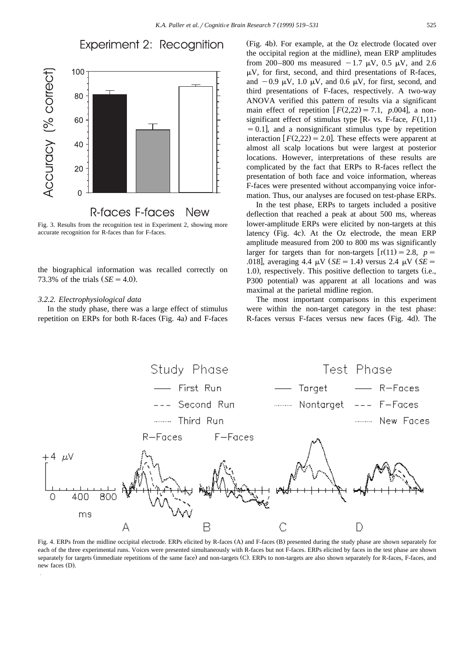# Experiment 2: Recognition



Fig. 3. Results from the recognition test in Experiment 2, showing more accurate recognition for R-faces than for F-faces.

the biographical information was recalled correctly on 73.3% of the trials  $(SE = 4.0)$ .

#### *3.2.2. Electrophysiological data*

In the study phase, there was a large effect of stimulus repetition on ERPs for both R-faces (Fig. 4a) and F-faces

(Fig. 4b). For example, at the Oz electrode (located over the occipital region at the midline), mean ERP amplitudes from 200–800 ms measured  $-1.7 \mu V$ , 0.5  $\mu V$ , and 2.6  $\mu$ V, for first, second, and third presentations of R-faces, and  $-0.9 \mu V$ , 1.0  $\mu V$ , and 0.6  $\mu V$ , for first, second, and third presentations of F-faces, respectively. A two-way ANOVA verified this pattern of results via a significant main effect of repetition  $[F(2,22) = 7.1, p.004]$ , a nonsignificant effect of stimulus type  $[R- vs. F-face, F(1,11)]$  $s=0.1$ , and a nonsignificant stimulus type by repetition interaction  $F(2,22) = 2.0$ . These effects were apparent at almost all scalp locations but were largest at posterior locations. However, interpretations of these results are complicated by the fact that ERPs to R-faces reflect the presentation of both face and voice information, whereas F-faces were presented without accompanying voice information. Thus, our analyses are focused on test-phase ERPs.

In the test phase, ERPs to targets included a positive deflection that reached a peak at about 500 ms, whereas lower-amplitude ERPs were elicited by non-targets at this latency (Fig. 4c). At the  $Oz$  electrode, the mean ERP amplitude measured from 200 to 800 ms was significantly larger for targets than for non-targets  $[t(11) = 2.8, p =$ .018], averaging 4.4  $\mu$ V *(SE* = 1.4) versus 2.4  $\mu$ V *(SE* =  $1.0$ ), respectively. This positive deflection to targets (i.e., P300 potential) was apparent at all locations and was maximal at the parietal midline region.

The most important comparisons in this experiment were within the non-target category in the test phase: R-faces versus F-faces versus new faces (Fig. 4d). The



Fig. 4. ERPs from the midline occipital electrode. ERPs elicited by R-faces (A) and F-faces (B) presented during the study phase are shown separately for each of the three experimental runs. Voices were presented simultaneously with R-faces but not F-faces. ERPs elicited by faces in the test phase are shown separately for targets (immediate repetitions of the same face) and non-targets (C). ERPs to non-targets are also shown separately for R-faces, F-faces, and new faces (D).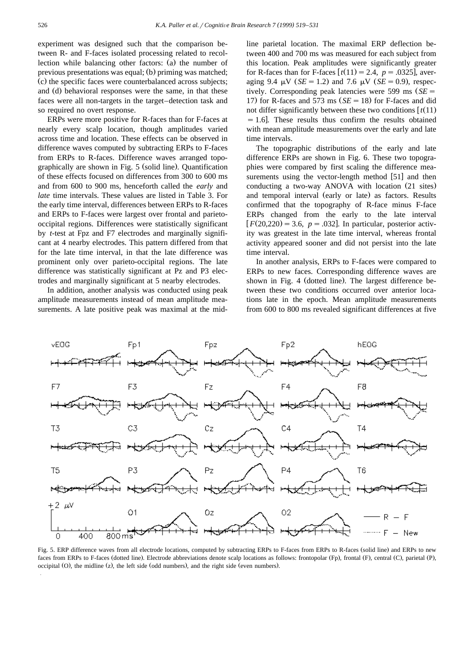experiment was designed such that the comparison between R- and F-faces isolated processing related to recollection while balancing other factors: (a) the number of previous presentations was equal; (b) priming was matched; (c) the specific faces were counterbalanced across subjects; and (d) behavioral responses were the same, in that these faces were all non-targets in the target–detection task and so required no overt response.

ERPs were more positive for R-faces than for F-faces at nearly every scalp location, though amplitudes varied across time and location. These effects can be observed in difference waves computed by subtracting ERPs to F-faces from ERPs to R-faces. Difference waves arranged topographically are shown in Fig.  $5$  (solid line). Quantification of these effects focused on differences from 300 to 600 ms and from 600 to 900 ms, henceforth called the *early* and *late* time intervals. These values are listed in Table 3. For the early time interval, differences between ERPs to R-faces and ERPs to F-faces were largest over frontal and parietooccipital regions. Differences were statistically significant by *t*-test at Fpz and F7 electrodes and marginally significant at 4 nearby electrodes. This pattern differed from that for the late time interval, in that the late difference was prominent only over parieto-occipital regions. The late difference was statistically significant at Pz and P3 electrodes and marginally significant at 5 nearby electrodes.

In addition, another analysis was conducted using peak amplitude measurements instead of mean amplitude measurements. A late positive peak was maximal at the midline parietal location. The maximal ERP deflection between 400 and 700 ms was measured for each subject from this location. Peak amplitudes were significantly greater for R-faces than for F-faces  $\left[t(11) = 2.4, p = .0325\right]$ , averaging 9.4  $\mu$ V *(SE* = 1.2) and 7.6  $\mu$ V *(SE* = 0.9), respectively. Corresponding peak latencies were 599 ms  $(SE =$ 17) for R-faces and 573 ms  $(SE = 18)$  for F-faces and did not differ significantly between these two conditions  $[t(11)]$  $=1.6$ ]. These results thus confirm the results obtained with mean amplitude measurements over the early and late time intervals.

The topographic distributions of the early and late difference ERPs are shown in Fig. 6. These two topographies were compared by first scaling the difference measurements using the vector-length method  $[51]$  and then conducting a two-way ANOVA with location (21 sites) and temporal interval (early or late) as factors. Results confirmed that the topography of R-face minus F-face ERPs changed from the early to the late interval  $F(20,220) = 3.6, p = .032$ . In particular, posterior activity was greatest in the late time interval, whereas frontal activity appeared sooner and did not persist into the late time interval.

In another analysis, ERPs to F-faces were compared to ERPs to new faces. Corresponding difference waves are shown in Fig. 4 (dotted line). The largest difference between these two conditions occurred over anterior locations late in the epoch. Mean amplitude measurements from 600 to 800 ms revealed significant differences at five



Fig. 5. ERP difference waves from all electrode locations, computed by subtracting ERPs to F-faces from ERPs to R-faces (solid line) and ERPs to new faces from ERPs to F-faces (dotted line). Electrode abbreviations denote scalp locations as follows: frontopolar (Fp), frontal (F), central (C), parietal (P), occipital  $(O)$ , the midline  $(z)$ , the left side  $(odd\ numbers)$ , and the right side (even numbers).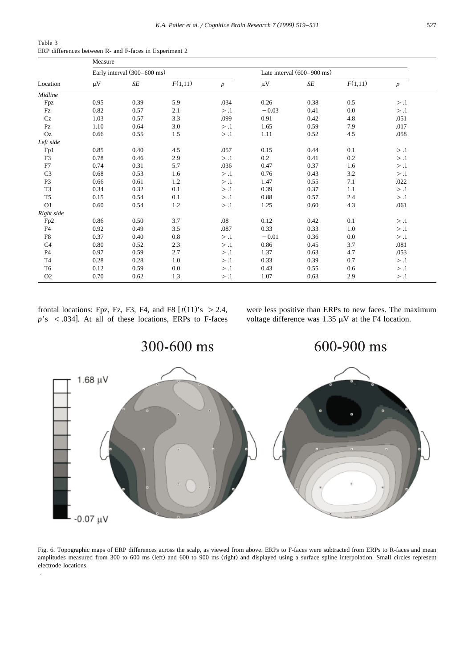| Table 3 |  |  |  |                                                        |  |
|---------|--|--|--|--------------------------------------------------------|--|
|         |  |  |  | ERP differences between R- and F-faces in Experiment 2 |  |

|                | Measure |                             |         |                  |         |                                      |         |                  |  |
|----------------|---------|-----------------------------|---------|------------------|---------|--------------------------------------|---------|------------------|--|
| Location       |         | Early interval (300–600 ms) |         |                  |         | Late interval $(600-900 \text{ ms})$ |         |                  |  |
|                | $\mu$ V | SE                          | F(1,11) | $\boldsymbol{p}$ | $\mu V$ | SE                                   | F(1,11) | $\boldsymbol{p}$ |  |
| Midline        |         |                             |         |                  |         |                                      |         |                  |  |
| Fpz            | 0.95    | 0.39                        | 5.9     | .034             | 0.26    | 0.38                                 | 0.5     | > .1             |  |
| Fz             | 0.82    | 0.57                        | 2.1     | > .1             | $-0.03$ | 0.41                                 | 0.0     | > .1             |  |
| Cz             | 1.03    | 0.57                        | 3.3     | .099             | 0.91    | 0.42                                 | 4.8     | .051             |  |
| PZ             | 1.10    | 0.64                        | 3.0     | > .1             | 1.65    | 0.59                                 | 7.9     | .017             |  |
| Oz             | 0.66    | 0.55                        | 1.5     | > .1             | 1.11    | 0.52                                 | 4.5     | .058             |  |
| Left side      |         |                             |         |                  |         |                                      |         |                  |  |
| Fp1            | 0.85    | 0.40                        | 4.5     | .057             | 0.15    | 0.44                                 | 0.1     | > .1             |  |
| F <sub>3</sub> | 0.78    | 0.46                        | 2.9     | > .1             | 0.2     | 0.41                                 | 0.2     | > .1             |  |
| F7             | 0.74    | 0.31                        | 5.7     | .036             | 0.47    | 0.37                                 | 1.6     | > .1             |  |
| C <sub>3</sub> | 0.68    | 0.53                        | 1.6     | > .1             | 0.76    | 0.43                                 | 3.2     | > .1             |  |
| P <sub>3</sub> | 0.66    | 0.61                        | 1.2     | > .1             | 1.47    | 0.55                                 | 7.1     | .022             |  |
| T <sub>3</sub> | 0.34    | 0.32                        | 0.1     | > .1             | 0.39    | 0.37                                 | 1.1     | > .1             |  |
| T <sub>5</sub> | 0.15    | 0.54                        | 0.1     | > .1             | 0.88    | 0.57                                 | 2.4     | > .1             |  |
| O <sub>1</sub> | 0.60    | 0.54                        | 1.2     | > .1             | 1.25    | 0.60                                 | 4.3     | .061             |  |
| Right side     |         |                             |         |                  |         |                                      |         |                  |  |
| Fp2            | 0.86    | 0.50                        | 3.7     | .08              | 0.12    | 0.42                                 | 0.1     | > .1             |  |
| F <sub>4</sub> | 0.92    | 0.49                        | 3.5     | .087             | 0.33    | 0.33                                 | 1.0     | > .1             |  |
| F8             | 0.37    | 0.40                        | 0.8     | > .1             | $-0.01$ | 0.36                                 | 0.0     | > .1             |  |
| C <sub>4</sub> | 0.80    | 0.52                        | 2.3     | > .1             | 0.86    | 0.45                                 | 3.7     | .081             |  |
| <b>P4</b>      | 0.97    | 0.59                        | 2.7     | > .1             | 1.37    | 0.63                                 | 4.7     | .053             |  |
| T <sub>4</sub> | 0.28    | 0.28                        | 1.0     | > .1             | 0.33    | 0.39                                 | 0.7     | > .1             |  |
| T <sub>6</sub> | 0.12    | 0.59                        | 0.0     | > .1             | 0.43    | 0.55                                 | 0.6     | > .1             |  |
| O <sub>2</sub> | 0.70    | 0.62                        | 1.3     | > .1             | 1.07    | 0.63                                 | 2.9     | > .1             |  |

frontal locations: Fpz, Fz, F3, F4, and F8  $\left[t(11)^{s} \ge 2.4\right]$ ,  $p$ 's <.034]. At all of these locations, ERPs to F-faces were less positive than ERPs to new faces. The maximum voltage difference was 1.35  $\mu$ V at the F4 location.



Fig. 6. Topographic maps of ERP differences across the scalp, as viewed from above. ERPs to F-faces were subtracted from ERPs to R-faces and mean amplitudes measured from 300 to 600 ms (left) and 600 to 900 ms (right) and displayed using a surface spline interpolation. Small circles represent electrode locations.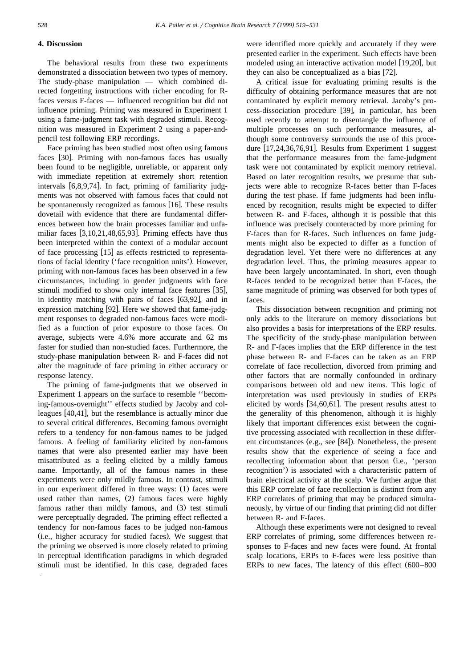# **4. Discussion**

The behavioral results from these two experiments demonstrated a dissociation between two types of memory. The study-phase manipulation — which combined directed forgetting instructions with richer encoding for Rfaces versus F-faces — influenced recognition but did not influence priming. Priming was measured in Experiment 1 using a fame-judgment task with degraded stimuli. Recognition was measured in Experiment 2 using a paper-andpencil test following ERP recordings.

Face priming has been studied most often using famous faces [30]. Priming with non-famous faces has usually been found to be negligible, unreliable, or apparent only with immediate repetition at extremely short retention intervals  $[6,8,9,74]$ . In fact, priming of familiarity judgments was not observed with famous faces that could not be spontaneously recognized as famous  $[16]$ . These results dovetail with evidence that there are fundamental differences between how the brain processes familiar and unfamiliar faces  $[3,10,21,48,65,93]$ . Priming effects have thus been interpreted within the context of a modular account of face processing  $[15]$  as effects restricted to representations of facial identity ('face recognition units'). However, priming with non-famous faces has been observed in a few circumstances, including in gender judgments with face stimuli modified to show only internal face features [35], in identity matching with pairs of faces  $[63,92]$ , and in expression matching [92]. Here we showed that fame-judgment responses to degraded non-famous faces were modified as a function of prior exposure to those faces. On average, subjects were 4.6% more accurate and 62 ms faster for studied than non-studied faces. Furthermore, the study-phase manipulation between R- and F-faces did not alter the magnitude of face priming in either accuracy or response latency.

The priming of fame-judgments that we observed in Experiment 1 appears on the surface to resemble ''becoming-famous-overnight'' effects studied by Jacoby and colleagues  $[40, 41]$ , but the resemblance is actually minor due to several critical differences. Becoming famous overnight refers to a tendency for non-famous names to be judged famous. A feeling of familiarity elicited by non-famous names that were also presented earlier may have been misattributed as a feeling elicited by a mildly famous name. Importantly, all of the famous names in these experiments were only mildly famous. In contrast, stimuli in our experiment differed in three ways: (1) faces were used rather than names, (2) famous faces were highly famous rather than mildly famous, and (3) test stimuli were perceptually degraded. The priming effect reflected a tendency for non-famous faces to be judged non-famous (i.e., higher accuracy for studied faces). We suggest that the priming we observed is more closely related to priming in perceptual identification paradigms in which degraded stimuli must be identified. In this case, degraded faces

were identified more quickly and accurately if they were presented earlier in the experiment. Such effects have been modeled using an interactive activation model [19,20], but they can also be conceptualized as a bias [72].

A critical issue for evaluating priming results is the difficulty of obtaining performance measures that are not contaminated by explicit memory retrieval. Jacoby's process-dissociation procedure [39], in particular, has been used recently to attempt to disentangle the influence of multiple processes on such performance measures, although some controversy surrounds the use of this procedure  $[17, 24, 36, 76, 91]$ . Results from Experiment 1 suggest that the performance measures from the fame-judgment task were not contaminated by explicit memory retrieval. Based on later recognition results, we presume that subjects were able to recognize R-faces better than F-faces during the test phase. If fame judgments had been influenced by recognition, results might be expected to differ between R- and F-faces, although it is possible that this influence was precisely counteracted by more priming for F-faces than for R-faces. Such influences on fame judgments might also be expected to differ as a function of degradation level. Yet there were no differences at any degradation level. Thus, the priming measures appear to have been largely uncontaminated. In short, even though R-faces tended to be recognized better than F-faces, the same magnitude of priming was observed for both types of faces.

This dissociation between recognition and priming not only adds to the literature on memory dissociations but also provides a basis for interpretations of the ERP results. The specificity of the study-phase manipulation between R- and F-faces implies that the ERP difference in the test phase between R- and F-faces can be taken as an ERP correlate of face recollection, divorced from priming and other factors that are normally confounded in ordinary comparisons between old and new items. This logic of interpretation was used previously in studies of ERPs elicited by words  $[34,60,61]$ . The present results attest to the generality of this phenomenon, although it is highly likely that important differences exist between the cognitive processing associated with recollection in these different circumstances (e.g., see [84]). Nonetheless, the present results show that the experience of seeing a face and recollecting information about that person (i.e., 'person recognition') is associated with a characteristic pattern of brain electrical activity at the scalp. We further argue that this ERP correlate of face recollection is distinct from any ERP correlates of priming that may be produced simultaneously, by virtue of our finding that priming did not differ between R- and F-faces.

Although these experiments were not designed to reveal ERP correlates of priming, some differences between responses to F-faces and new faces were found. At frontal scalp locations, ERPs to F-faces were less positive than ERPs to new faces. The latency of this effect  $(600-800)$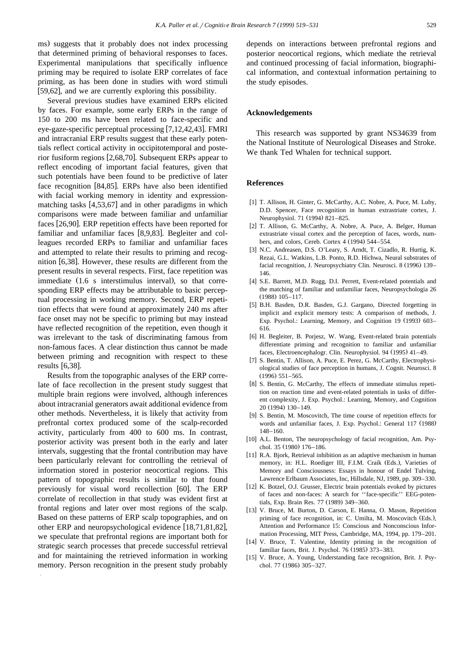ms) suggests that it probably does not index processing that determined priming of behavioral responses to faces. Experimental manipulations that specifically influence priming may be required to isolate ERP correlates of face priming, as has been done in studies with word stimuli  $\overline{[59,62]}$ , and we are currently exploring this possibility.

Several previous studies have examined ERPs elicited by faces. For example, some early ERPs in the range of 150 to 200 ms have been related to face-specific and eye-gaze-specific perceptual processing  $[7,12,42,43]$ . FMRI and intracranial ERP results suggest that these early potentials reflect cortical activity in occipitotemporal and posterior fusiform regions  $[2,68,70]$ . Subsequent ERPs appear to reflect encoding of important facial features, given that such potentials have been found to be predictive of later face recognition  $[84,85]$ . ERPs have also been identified with facial working memory in identity and expressionmatching tasks  $[4,53,67]$  and in other paradigms in which comparisons were made between familiar and unfamiliar faces [26,90]. ERP repetition effects have been reported for familiar and unfamiliar faces [8,9,83]. Begleiter and colleagues recorded ERPs to familiar and unfamiliar faces and attempted to relate their results to priming and recognition  $[6,38]$ . However, these results are different from the present results in several respects. First, face repetition was immediate (1.6 s interstimulus interval), so that corresponding ERP effects may be attributable to basic perceptual processing in working memory. Second, ERP repetition effects that were found at approximately 240 ms after face onset may not be specific to priming but may instead have reflected recognition of the repetition, even though it was irrelevant to the task of discriminating famous from non-famous faces. A clear distinction thus cannot be made between priming and recognition with respect to these results  $[6,38]$ .

Results from the topographic analyses of the ERP correlate of face recollection in the present study suggest that multiple brain regions were involved, although inferences about intracranial generators await additional evidence from other methods. Nevertheless, it is likely that activity from prefrontal cortex produced some of the scalp-recorded activity, particularly from 400 to 600 ms. In contrast, posterior activity was present both in the early and later intervals, suggesting that the frontal contribution may have been particularly relevant for controlling the retrieval of information stored in posterior neocortical regions. This pattern of topographic results is similar to that found previously for visual word recollection [60]. The ERP correlate of recollection in that study was evident first at frontal regions and later over most regions of the scalp. Based on these patterns of ERP scalp topographies, and on other ERP and neuropsychological evidence  $[18,71,81,82]$ , we speculate that prefrontal regions are important both for strategic search processes that precede successful retrieval and for maintaining the retrieved information in working memory. Person recognition in the present study probably

depends on interactions between prefrontal regions and posterior neocortical regions, which mediate the retrieval and continued processing of facial information, biographical information, and contextual information pertaining to the study episodes.

#### **Acknowledgements**

This research was supported by grant NS34639 from the National Institute of Neurological Diseases and Stroke. We thank Ted Whalen for technical support.

#### **References**

- [1] T. Allison, H. Ginter, G. McCarthy, A.C. Nobre, A. Puce, M. Luby, D.D. Spencer, Face recognition in human extrastriate cortex, J. Neurophysiol. 71 (1994) 821-825.
- [2] T. Allison, G. McCarthy, A. Nobre, A. Puce, A. Belger, Human extrastriate visual cortex and the perception of faces, words, numbers, and colors, Cereb. Cortex  $4(1994)$  544–554.
- [3] N.C. Andreasen, D.S. O'Leary, S. Arndt, T. Cizadlo, R. Hurtig, K. Rezai, G.L. Watkins, L.B. Ponto, R.D. Hichwa, Neural substrates of facial recognition, J. Neuropsychiatry Clin. Neurosci. 8 (1996) 139– 146.
- [4] S.E. Barrett, M.D. Rugg, D.I. Perrett, Event-related potentials and the matching of familiar and unfamiliar faces, Neuropsychologia 26  $(1988)$  105–117.
- [5] B.H. Basden, D.R. Basden, G.J. Gargano, Directed forgetting in implicit and explicit memory tests: A comparison of methods, J. Exp. Psychol.: Learning, Memory, and Cognition 19 (1993) 603– 616.
- [6] H. Begleiter, B. Porjesz, W. Wang, Event-related brain potentials differentiate priming and recognition to familiar and unfamiliar faces, Electroencephalogr. Clin. Neurophysiol. 94 (1995) 41–49.
- [7] S. Bentin, T. Allison, A. Puce, E. Perez, G. McCarthy, Electrophysiological studies of face perception in humans, J. Cognit. Neurosci. 8  $(1996)$  551–565.
- [8] S. Bentin, G. McCarthy, The effects of immediate stimulus repetition on reaction time and event-related potentials in tasks of different complexity, J. Exp. Psychol.: Learning, Memory, and Cognition 20 (1994) 130-149.
- [9] S. Bentin, M. Moscovitch, The time course of repetition effects for words and unfamiliar faces, J. Exp. Psychol.: General 117 (1988) 148–160.
- [10] A.L. Benton, The neuropsychology of facial recognition, Am. Psychol. 35 (1980) 176-186.
- [11] R.A. Bjork, Retrieval inhibition as an adaptive mechanism in human memory, in: H.L. Roediger III, F.I.M. Craik (Eds.), Varieties of Memory and Consciousness: Essays in honour of Endel Tulving, Lawrence Erlbaum Associates, Inc, Hillsdale, NJ, 1989, pp. 309–330.
- [12] K. Botzel, O.J. Grusser, Electric brain potentials evoked by pictures of faces and non-faces: A search for ''face-specific'' EEG-potentials, Exp. Brain Res. 77 (1989) 349-360.
- [13] V. Bruce, M. Burton, D. Carson, E. Hanna, O. Mason, Repetition priming of face recognition, in: C. Umilta, M. Moscovitch (Eds.), Attention and Performance 15: Conscious and Nonconscious Information Processing, MIT Press, Cambridge, MA, 1994, pp. 179–201.
- [14] V. Bruce, T. Valentine, Identity priming in the recognition of familiar faces, Brit. J. Psychol. 76 (1985) 373-383.
- [15] V. Bruce, A. Young, Understanding face recognition, Brit. J. Psychol. 77 (1986) 305-327.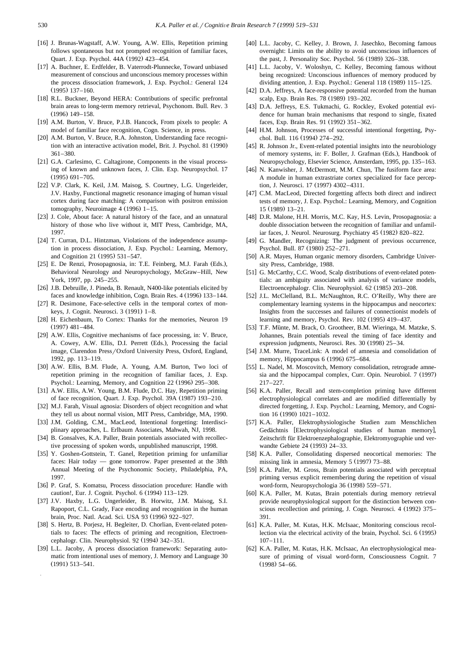- [16] J. Brunas-Wagstaff, A.W. Young, A.W. Ellis, Repetition priming follows spontaneous but not prompted recognition of familiar faces, Quart. J. Exp. Psychol. 44A (1992) 423-454.
- [17] A. Buchner, E. Erdfelder, B. Vaterrodt-Plunnecke, Toward unbiased measurement of conscious and unconscious memory processes within the process dissociation framework, J. Exp. Psychol.: General 124  $(1995)$  137–160.
- [18] R.L. Buckner, Beyond HERA: Contributions of specific prefrontal brain areas to long-term memory retrieval, Psychonom. Bull. Rev. 3  $(1996)$  149–158.
- [19] A.M. Burton, V. Bruce, P.J.B. Hancock, From pixels to people: A model of familiar face recognition, Cogn. Science, in press.
- [20] A.M. Burton, V. Bruce, R.A. Johnston, Understanding face recognition with an interactive activation model, Brit. J. Psychol. 81 (1990) 361–380.
- [21] G.A. Carlesimo, C. Caltagirone, Components in the visual processing of known and unknown faces, J. Clin. Exp. Neuropsychol. 17  $(1995)$  691-705.
- [22] V.P. Clark, K. Keil, J.M. Maisog, S. Courtney, L.G. Ungerleider, J.V. Haxby, Functional magnetic resonance imaging of human visual cortex during face matching: A comparison with positron emission tomography, Neuroimage  $4(1996)$  1–15.
- [23] J. Cole, About face: A natural history of the face, and an unnatural history of those who live without it, MIT Press, Cambridge, MA, 1997.
- [24] T. Curran, D.L. Hintzman, Violations of the independence assumption in process dissociation, J. Exp. Psychol.: Learning, Memory, and Cognition 21 (1995) 531-547.
- [25] E. De Renzi, Prosopagnosia, in: T.E. Feinberg, M.J. Farah (Eds.), Behavioral Neurology and Neuropsychology, McGraw–Hill, New York, 1997, pp. 245–255.
- [26] J.B. Debruille, J. Pineda, B. Renault, N400-like potentials elicited by faces and knowledge inhibition, Cogn. Brain Res. 4 (1996) 133–144.
- [27] R. Desimone, Face-selective cells in the temporal cortex of monkeys, J. Cognit. Neurosci. 3 (1991) 1-8.
- [28] H. Eichenbaum, To Cortex: Thanks for the memories, Neuron 19  $(1997)$   $481-484$ .
- [29] A.W. Ellis, Cognitive mechanisms of face processing, in: V. Bruce, A. Cowey, A.W. Ellis, D.I. Perrett (Eds.), Processing the facial image, Clarendon Press/Oxford University Press, Oxford, England, 1992, pp. 113–119.
- [30] A.W. Ellis, B.M. Flude, A. Young, A.M. Burton, Two loci of repetition priming in the recognition of familiar faces, J. Exp. Psychol.: Learning, Memory, and Cognition 22 (1996) 295–308.
- [31] A.W. Ellis, A.W. Young, B.M. Flude, D.C. Hay, Repetition priming of face recognition, Quart. J. Exp. Psychol. 39A (1987) 193-210.
- [32] M.J. Farah, Visual agnosia: Disorders of object recognition and what they tell us about normal vision, MIT Press, Cambridge, MA, 1990.
- [33] J.M. Golding, C.M., MacLeod, Intentional forgetting: Interdisciplinary approaches, L. Erlbaum Associates, Mahwah, NJ, 1998.
- [34] B. Gonsalves, K.A. Paller, Brain potentials associated with recollective processing of spoken words, unpublished manuscript, 1998.
- [35] Y. Goshen-Gottstein, T. Ganel, Repetition priming for unfamiliar faces: Hair today — gone tomorrow. Paper presented at the 38th Annual Meeting of the Psychonomic Society, Philadelphia, PA, 1997.
- [36] P. Graf, S. Komatsu, Process dissociation procedure: Handle with caution!, Eur. J. Cognit. Psychol. 6 (1994) 113-129.
- [37] J.V. Haxby, L.G. Ungerleider, B. Horwitz, J.M. Maisog, S.I. Rapoport, C.L. Grady, Face encoding and recognition in the human brain, Proc. Natl. Acad. Sci. USA 93 (1996) 922-927.
- [38] S. Hertz, B. Porjesz, H. Begleiter, D. Chorlian, Event-related potentials to faces: The effects of priming and recognition, Electroencephalogr. Clin. Neurophysiol. 92 (1994) 342–351.
- [39] L.L. Jacoby, A process dissociation framework: Separating automatic from intentional uses of memory, J. Memory and Language 30  $(1991)$  513–541.
- [40] L.L. Jacoby, C. Kelley, J. Brown, J. Jasechko, Becoming famous overnight: Limits on the ability to avoid unconscious influences of the past, J. Personality Soc. Psychol.  $56$  (1989) 326–338.
- [41] L.L. Jacoby, V. Woloshyn, C. Kelley, Becoming famous without being recognized: Unconscious influences of memory produced by dividing attention, J. Exp. Psychol.: General 118 (1989) 115-125.
- [42] D.A. Jeffreys, A face-responsive potential recorded from the human scalp, Exp. Brain Res. 78 (1989) 193-202.
- [43] D.A. Jeffreys, E.S. Tukmachi, G. Rockley, Evoked potential evidence for human brain mechanisms that respond to single, fixated faces, Exp. Brain Res. 91 (1992) 351-362.
- [44] H.M. Johnson, Processes of successful intentional forgetting, Psychol. Bull. 116 (1994) 274-292.
- [45] R. Johnson Jr., Event-related potential insights into the neurobiology of memory systems, in: F. Boller, J. Grafman (Eds.), Handbook of Neuropsychology, Elsevier Science, Amsterdam, 1995, pp. 135–163.
- [46] N. Kanwisher, J. McDermott, M.M. Chun, The fusiform face area: A module in human extrastriate cortex specialized for face perception, J. Neurosci. 17 (1997) 4302-4311.
- [47] C.M. MacLeod, Directed forgetting affects both direct and indirect tests of memory, J. Exp. Psychol.: Learning, Memory, and Cognition  $15(1989)13-21.$
- [48] D.R. Malone, H.H. Morris, M.C. Kay, H.S. Levin, Prosopagnosia: a double dissociation between the recognition of familiar and unfamiliar faces, J. Neurol. Neurosurg. Psychiatry 45 (1982) 820-822.
- [49] G. Mandler, Recognizing: The judgment of previous occurrence, Psychol. Bull. 87 (1980) 252-271.
- [50] A.R. Mayes, Human organic memory disorders, Cambridge University Press, Cambridge, 1988.
- [51] G. McCarthy, C.C. Wood, Scalp distributions of event-related potentials: an ambiguity associated with analysis of variance models, Electroencephalogr. Clin. Neurophysiol. 62 (1985) 203-208.
- [52] J.L. McClelland, B.L. McNaughton, R.C. O'Reilly, Why there are complementary learning systems in the hippocampus and neocortex: Insights from the successes and failures of connectionist models of learning and memory, Psychol. Rev.  $102$  (1995) 419–437.
- [53] T.F. Münte, M. Brack, O. Grootheer, B.M. Wieringa, M. Matzke, S. Johannes, Brain potentials reveal the timing of face identity and expression judgments, Neurosci. Res. 30 (1998) 25–34.
- [54] J.M. Murre, TraceLink: A model of amnesia and consolidation of memory, Hippocampus  $6(1996) 675-684$ .
- [55] L. Nadel, M. Moscovitch, Memory consolidation, retrograde amnesia and the hippocampal complex, Curr. Opin. Neurobiol. 7 (1997) 217–227.
- [56] K.A. Paller, Recall and stem-completion priming have different electrophysiological correlates and are modified differentially by directed forgetting, J. Exp. Psychol.: Learning, Memory, and Cognition 16 (1990)  $1021 - 1032$ .
- [57] K.A. Paller, Elektrophysiologische Studien zum Menschlichen Gedächtnis [Electrophysiological studies of human memory], Zeitschrift für Elektroenzephalographie, Elektromyographie und verwandte Gebiete 24 (1993) 24-33.
- [58] K.A. Paller, Consolidating dispersed neocortical memories: The missing link in amnesia, Memory  $5(1997)$  73–88.
- [59] K.A. Paller, M. Gross, Brain potentials associated with perceptual priming versus explicit remembering during the repetition of visual word-form, Neuropsychologia 36 (1998) 559-571.
- [60] K.A. Paller, M. Kutas, Brain potentials during memory retrieval provide neurophysiological support for the distinction between conscious recollection and priming, J. Cogn. Neurosci. 4 (1992) 375– 391.
- [61] K.A. Paller, M. Kutas, H.K. McIsaac, Monitoring conscious recollection via the electrical activity of the brain, Psychol. Sci. 6 (1995) 107–111.
- [62] K.A. Paller, M. Kutas, H.K. McIsaac, An electrophysiological measure of priming of visual word-form, Consciousness Cognit. 7  $(1998)$  54–66.